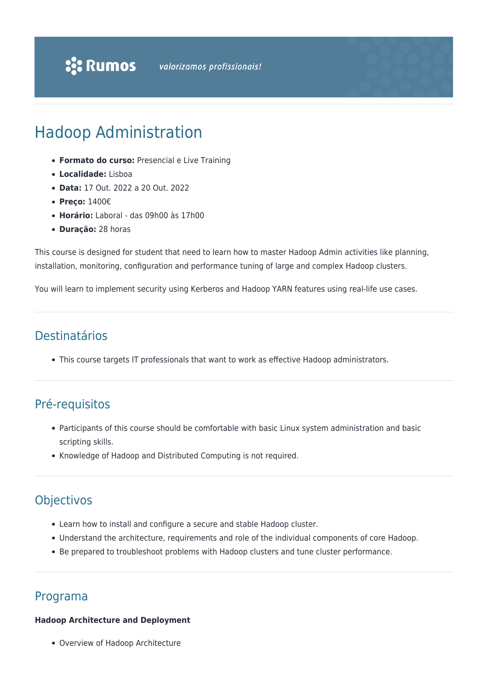# Hadoop Administration

- **Formato do curso:** Presencial e Live Training
- **Localidade:** Lisboa
- **Data:** 17 Out. 2022 a 20 Out. 2022
- **Preço:** 1400€
- **Horário:** Laboral das 09h00 às 17h00
- **Duração:** 28 horas

This course is designed for student that need to learn how to master Hadoop Admin activities like planning, installation, monitoring, configuration and performance tuning of large and complex Hadoop clusters.

You will learn to implement security using Kerberos and Hadoop YARN features using real-life use cases.

## Destinatários

This course targets IT professionals that want to work as effective Hadoop administrators.

# Pré-requisitos

- Participants of this course should be comfortable with basic Linux system administration and basic scripting skills.
- Knowledge of Hadoop and Distributed Computing is not required.

# **Objectivos**

- Learn how to install and configure a secure and stable Hadoop cluster.
- Understand the architecture, requirements and role of the individual components of core Hadoop.
- Be prepared to troubleshoot problems with Hadoop clusters and tune cluster performance.

### Programa

#### **Hadoop Architecture and Deployment**

Overview of Hadoop Architecture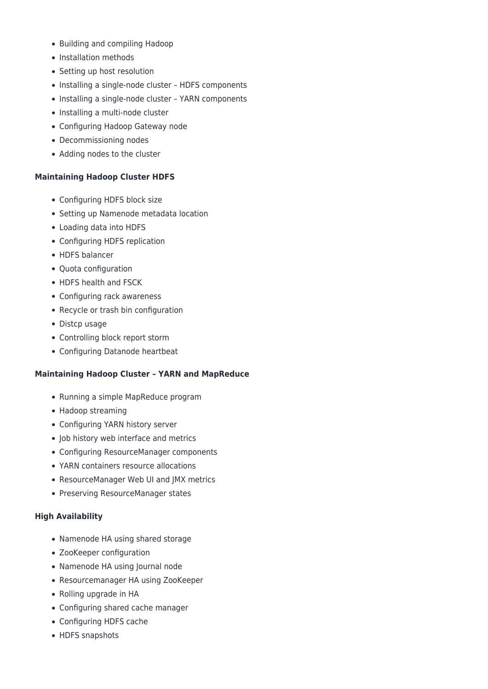- Building and compiling Hadoop
- Installation methods
- Setting up host resolution
- Installing a single-node cluster HDFS components
- Installing a single-node cluster YARN components
- Installing a multi-node cluster
- Configuring Hadoop Gateway node
- Decommissioning nodes
- Adding nodes to the cluster

#### **Maintaining Hadoop Cluster HDFS**

- Configuring HDFS block size
- Setting up Namenode metadata location
- Loading data into HDFS
- Configuring HDFS replication
- HDFS balancer
- Ouota configuration
- HDFS health and FSCK
- Configuring rack awareness
- Recycle or trash bin configuration
- Distcp usage
- Controlling block report storm
- Configuring Datanode heartbeat

#### **Maintaining Hadoop Cluster – YARN and MapReduce**

- Running a simple MapReduce program
- Hadoop streaming
- Configuring YARN history server
- Job history web interface and metrics
- Configuring ResourceManager components
- YARN containers resource allocations
- ResourceManager Web UI and IMX metrics
- Preserving ResourceManager states

#### **High Availability**

- Namenode HA using shared storage
- ZooKeeper configuration
- Namenode HA using Journal node
- Resourcemanager HA using ZooKeeper
- Rolling upgrade in HA
- Configuring shared cache manager
- Configuring HDFS cache
- HDFS snapshots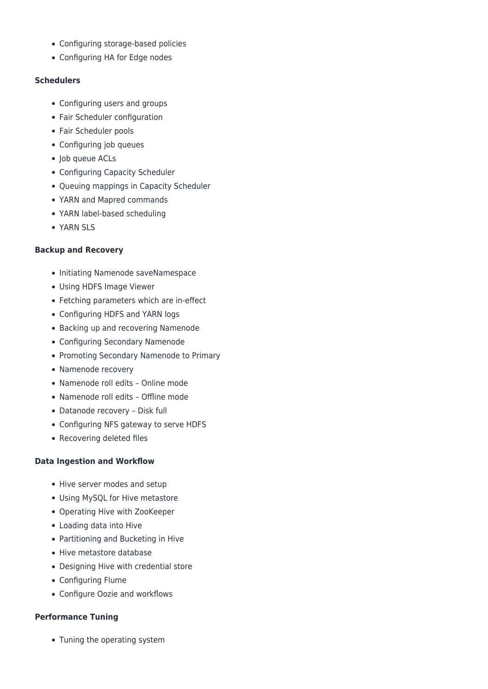- Configuring storage-based policies
- Configuring HA for Edge nodes

#### **Schedulers**

- Configuring users and groups
- Fair Scheduler configuration
- Fair Scheduler pools
- Configuring job queues
- Job queue ACLs
- Configuring Capacity Scheduler
- Queuing mappings in Capacity Scheduler
- YARN and Mapred commands
- YARN label-based scheduling
- YARN SLS

#### **Backup and Recovery**

- Initiating Namenode saveNamespace
- Using HDFS Image Viewer
- Fetching parameters which are in-effect
- Configuring HDFS and YARN logs
- Backing up and recovering Namenode
- Configuring Secondary Namenode
- Promoting Secondary Namenode to Primary
- Namenode recovery
- Namenode roll edits Online mode
- Namenode roll edits Offline mode
- Datanode recovery Disk full
- Configuring NFS gateway to serve HDFS
- Recovering deleted files

#### **Data Ingestion and Workflow**

- Hive server modes and setup
- Using MySQL for Hive metastore
- Operating Hive with ZooKeeper
- Loading data into Hive
- Partitioning and Bucketing in Hive
- Hive metastore database
- Designing Hive with credential store
- Configuring Flume
- Configure Oozie and workflows

#### **Performance Tuning**

• Tuning the operating system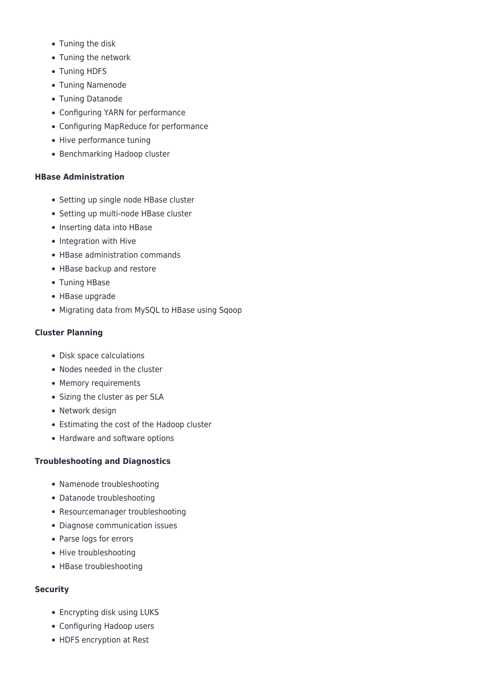- Tuning the disk
- Tuning the network
- Tuning HDFS
- Tuning Namenode
- Tuning Datanode
- Configuring YARN for performance
- Configuring MapReduce for performance
- Hive performance tuning
- Benchmarking Hadoop cluster

#### **HBase Administration**

- Setting up single node HBase cluster
- Setting up multi-node HBase cluster
- Inserting data into HBase
- Integration with Hive
- HBase administration commands
- HBase backup and restore
- Tuning HBase
- HBase upgrade
- Migrating data from MySQL to HBase using Sqoop

### **Cluster Planning**

- Disk space calculations
- Nodes needed in the cluster
- Memory requirements
- Sizing the cluster as per SLA
- Network design
- Estimating the cost of the Hadoop cluster
- Hardware and software options

#### **Troubleshooting and Diagnostics**

- Namenode troubleshooting
- Datanode troubleshooting
- Resourcemanager troubleshooting
- Diagnose communication issues
- Parse logs for errors
- Hive troubleshooting
- HBase troubleshooting

#### **Security**

- Encrypting disk using LUKS
- Configuring Hadoop users
- HDFS encryption at Rest